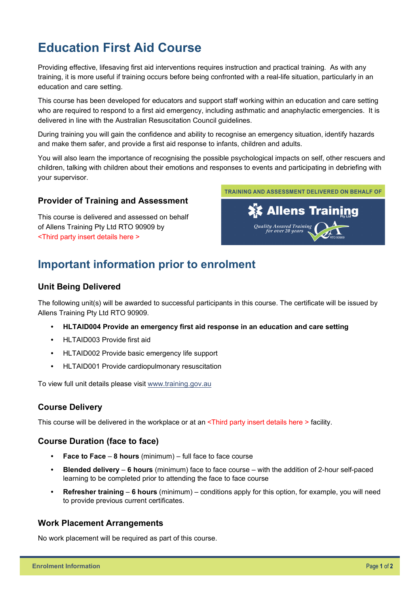# **Education First Aid Course**

Providing effective, lifesaving first aid interventions requires instruction and practical training. As with any training, it is more useful if training occurs before being confronted with a real-life situation, particularly in an education and care setting.

This course has been developed for educators and support staff working within an education and care setting who are required to respond to a first aid emergency, including asthmatic and anaphylactic emergencies. It is delivered in line with the Australian Resuscitation Council guidelines.

During training you will gain the confidence and ability to recognise an emergency situation, identify hazards and make them safer, and provide a first aid response to infants, children and adults.

You will also learn the importance of recognising the possible psychological impacts on self, other rescuers and children, talking with children about their emotions and responses to events and participating in debriefing with your supervisor.

## **Provider of Training and Assessment**

This course is delivered and assessed on behalf of Allens Training Pty Ltd RTO 90909 by <Third party insert details here >



# **Important information prior to enrolment**

## **Unit Being Delivered**

The following unit(s) will be awarded to successful participants in this course. The certificate will be issued by Allens Training Pty Ltd RTO 90909.

- **HLTAID004 Provide an emergency first aid response in an education and care setting**
- HLTAID003 Provide first aid
- HLTAID002 Provide basic emergency life support
- HLTAID001 Provide cardiopulmonary resuscitation

To view full unit details please visit [www.training.gov.au](https://training.gov.au/Training/Details/HLTAID001) 

## **Course Delivery**

This course will be delivered in the workplace or at an <Third party insert details here > facility.

## **Course Duration (face to face)**

- **Face to Face 8 hours** (minimum) full face to face course
- **Blended delivery 6 hours** (minimum) face to face course with the addition of 2-hour self-paced learning to be completed prior to attending the face to face course
- **Refresher training 6 hours** (minimum) conditions apply for this option, for example, you will need to provide previous current certificates.

## **Work Placement Arrangements**

No work placement will be required as part of this course.